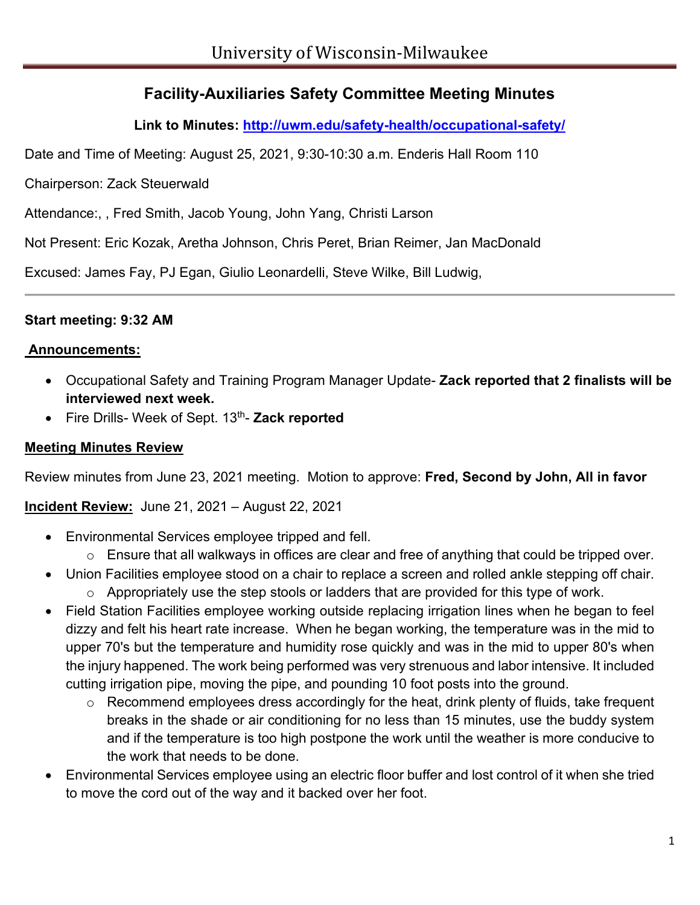# **Facility-Auxiliaries Safety Committee Meeting Minutes**

**Link to Minutes:<http://uwm.edu/safety-health/occupational-safety/>**

Date and Time of Meeting: August 25, 2021, 9:30-10:30 a.m. Enderis Hall Room 110

Chairperson: Zack Steuerwald

Attendance:, , Fred Smith, Jacob Young, John Yang, Christi Larson

Not Present: Eric Kozak, Aretha Johnson, Chris Peret, Brian Reimer, Jan MacDonald

Excused: James Fay, PJ Egan, Giulio Leonardelli, Steve Wilke, Bill Ludwig,

#### **Start meeting: 9:32 AM**

#### **Announcements:**

- Occupational Safety and Training Program Manager Update- **Zack reported that 2 finalists will be interviewed next week.**
- Fire Drills- Week of Sept. 13th- **Zack reported**

#### **Meeting Minutes Review**

Review minutes from June 23, 2021 meeting. Motion to approve: **Fred, Second by John, All in favor**

**Incident Review:** June 21, 2021 – August 22, 2021

- Environmental Services employee tripped and fell.
	- o Ensure that all walkways in offices are clear and free of anything that could be tripped over.
- Union Facilities employee stood on a chair to replace a screen and rolled ankle stepping off chair.
	- $\circ$  Appropriately use the step stools or ladders that are provided for this type of work.
- Field Station Facilities employee working outside replacing irrigation lines when he began to feel dizzy and felt his heart rate increase. When he began working, the temperature was in the mid to upper 70's but the temperature and humidity rose quickly and was in the mid to upper 80's when the injury happened. The work being performed was very strenuous and labor intensive. It included cutting irrigation pipe, moving the pipe, and pounding 10 foot posts into the ground.
	- o Recommend employees dress accordingly for the heat, drink plenty of fluids, take frequent breaks in the shade or air conditioning for no less than 15 minutes, use the buddy system and if the temperature is too high postpone the work until the weather is more conducive to the work that needs to be done.
- Environmental Services employee using an electric floor buffer and lost control of it when she tried to move the cord out of the way and it backed over her foot.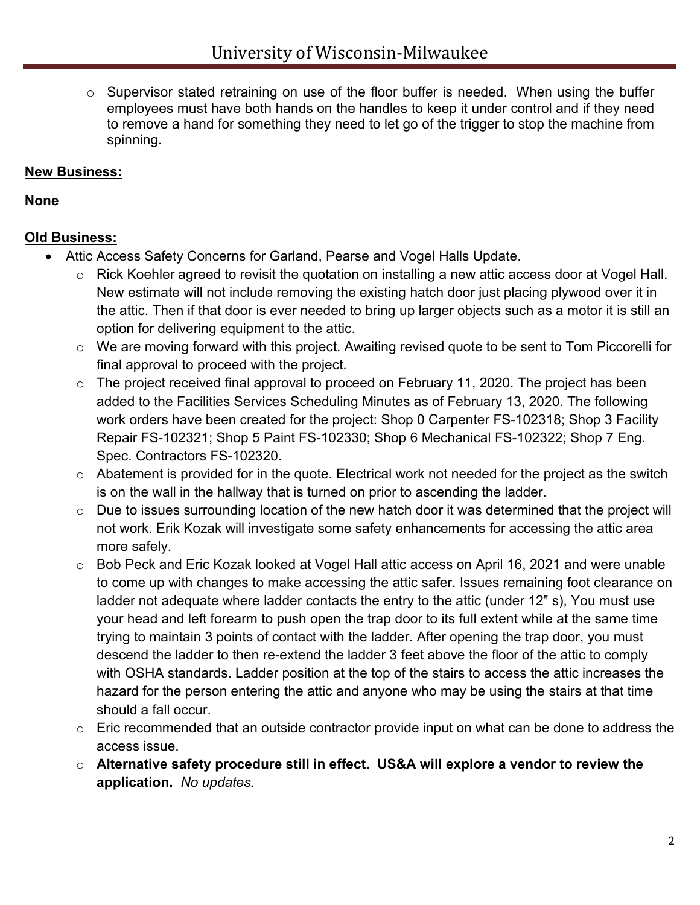o Supervisor stated retraining on use of the floor buffer is needed. When using the buffer employees must have both hands on the handles to keep it under control and if they need to remove a hand for something they need to let go of the trigger to stop the machine from spinning.

#### **New Business:**

**None**

### **Old Business:**

- Attic Access Safety Concerns for Garland, Pearse and Vogel Halls Update.
	- o Rick Koehler agreed to revisit the quotation on installing a new attic access door at Vogel Hall. New estimate will not include removing the existing hatch door just placing plywood over it in the attic. Then if that door is ever needed to bring up larger objects such as a motor it is still an option for delivering equipment to the attic.
	- o We are moving forward with this project. Awaiting revised quote to be sent to Tom Piccorelli for final approval to proceed with the project.
	- o The project received final approval to proceed on February 11, 2020. The project has been added to the Facilities Services Scheduling Minutes as of February 13, 2020. The following work orders have been created for the project: Shop 0 Carpenter FS-102318; Shop 3 Facility Repair FS-102321; Shop 5 Paint FS-102330; Shop 6 Mechanical FS-102322; Shop 7 Eng. Spec. Contractors FS-102320.
	- $\circ$  Abatement is provided for in the quote. Electrical work not needed for the project as the switch is on the wall in the hallway that is turned on prior to ascending the ladder.
	- o Due to issues surrounding location of the new hatch door it was determined that the project will not work. Erik Kozak will investigate some safety enhancements for accessing the attic area more safely.
	- o Bob Peck and Eric Kozak looked at Vogel Hall attic access on April 16, 2021 and were unable to come up with changes to make accessing the attic safer. Issues remaining foot clearance on ladder not adequate where ladder contacts the entry to the attic (under 12" s), You must use your head and left forearm to push open the trap door to its full extent while at the same time trying to maintain 3 points of contact with the ladder. After opening the trap door, you must descend the ladder to then re-extend the ladder 3 feet above the floor of the attic to comply with OSHA standards. Ladder position at the top of the stairs to access the attic increases the hazard for the person entering the attic and anyone who may be using the stairs at that time should a fall occur.
	- $\circ$  Eric recommended that an outside contractor provide input on what can be done to address the access issue.
	- o **Alternative safety procedure still in effect. US&A will explore a vendor to review the application.** *No updates.*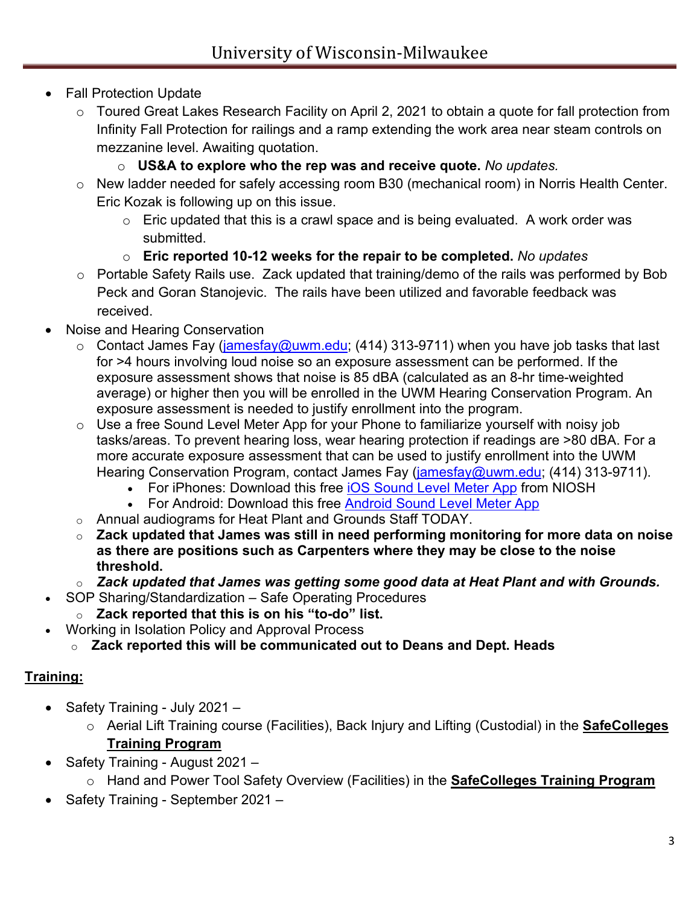# **Fall Protection Update**

- o Toured Great Lakes Research Facility on April 2, 2021 to obtain a quote for fall protection from Infinity Fall Protection for railings and a ramp extending the work area near steam controls on mezzanine level. Awaiting quotation.
	- o **US&A to explore who the rep was and receive quote.** *No updates.*
- o New ladder needed for safely accessing room B30 (mechanical room) in Norris Health Center. Eric Kozak is following up on this issue.
	- $\circ$  Eric updated that this is a crawl space and is being evaluated. A work order was submitted.
	- o **Eric reported 10-12 weeks for the repair to be completed.** *No updates*
- o Portable Safety Rails use. Zack updated that training/demo of the rails was performed by Bob Peck and Goran Stanojevic. The rails have been utilized and favorable feedback was received.
- Noise and Hearing Conservation
	- $\circ$  Contact James Fay [\(jamesfay@uwm.edu;](mailto:jamesfay@uwm.edu) (414) 313-9711) when you have job tasks that last for >4 hours involving loud noise so an exposure assessment can be performed. If the exposure assessment shows that noise is 85 dBA (calculated as an 8-hr time-weighted average) or higher then you will be enrolled in the UWM Hearing Conservation Program. An exposure assessment is needed to justify enrollment into the program.
	- $\circ$  Use a free Sound Level Meter App for your Phone to familiarize yourself with noisy job tasks/areas. To prevent hearing loss, wear hearing protection if readings are >80 dBA. For a more accurate exposure assessment that can be used to justify enrollment into the UWM Hearing Conservation Program, contact James Fay [\(jamesfay@uwm.edu;](mailto:jamesfay@uwm.edu) (414) 313-9711).
		- For iPhones: Download this free [iOS Sound Level Meter App](https://nam02.safelinks.protection.outlook.com/?url=https%3A%2F%2Fwww.cdc.gov%2Fniosh%2Ftopics%2Fnoise%2Fapp.html&data=04%7C01%7Crjpeck%40uwm.edu%7Cf3fddd335a8448b1b8af08d8ee14b614%7C0bca7ac3fcb64efd89eb6de97603cf21%7C0%7C0%7C637521120003787992%7CUnknown%7CTWFpbGZsb3d8eyJWIjoiMC4wLjAwMDAiLCJQIjoiV2luMzIiLCJBTiI6Ik1haWwiLCJXVCI6Mn0%3D%7C1000&sdata=irdsgxGgkA1Ywr1qTIwls%2Fn1XubN4ZKLZtq2vdDq0Eo%3D&reserved=0) from NIOSH
		- For Android: Download this free [Android Sound Level Meter App](https://play.google.com/store/apps/details?id=coocent.app.tools.soundmeter.noisedetector&utm_campaign=free-traffic&utm_source=solutions-softonic-com&utm_medium=referral)
	- o Annual audiograms for Heat Plant and Grounds Staff TODAY.
	- o **Zack updated that James was still in need performing monitoring for more data on noise as there are positions such as Carpenters where they may be close to the noise threshold.**
	- o *Zack updated that James was getting some good data at Heat Plant and with Grounds.*
	- SOP Sharing/Standardization Safe Operating Procedures
		- o **Zack reported that this is on his "to-do" list.**
- Working in Isolation Policy and Approval Process
	- o **Zack reported this will be communicated out to Deans and Dept. Heads**

## **Training:**

- Safety Training July 2021
	- o Aerial Lift Training course (Facilities), Back Injury and Lifting (Custodial) in the **SafeColleges Training Program**
- Safety Training August 2021
	- o Hand and Power Tool Safety Overview (Facilities) in the **SafeColleges Training Program**
- Safety Training September 2021 –